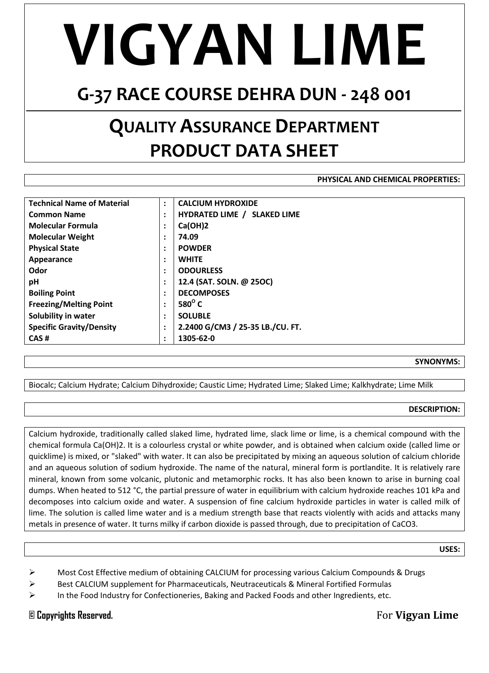## **VIGYAN LIME**

### **G-37 RACE COURSE DEHRA DUN - 248 001**

## **QUALITY ASSURANCE DEPARTMENT PRODUCT DATA SHEET**

#### **PHYSICAL AND CHEMICAL PROPERTIES:**

| <b>Technical Name of Material</b> | $\ddot{\cdot}$         | <b>CALCIUM HYDROXIDE</b>           |
|-----------------------------------|------------------------|------------------------------------|
| <b>Common Name</b>                | $\ddot{\cdot}$         | <b>HYDRATED LIME / SLAKED LIME</b> |
| <b>Molecular Formula</b>          | $\bullet$<br>$\bullet$ | Ca(OH)2                            |
| <b>Molecular Weight</b>           | $\bullet$<br>$\bullet$ | 74.09                              |
| <b>Physical State</b>             | $\ddot{\cdot}$         | <b>POWDER</b>                      |
| Appearance                        | $\ddot{\cdot}$         | <b>WHITE</b>                       |
| Odor                              | $\ddot{\cdot}$         | <b>ODOURLESS</b>                   |
| pH                                | $\ddot{\cdot}$         | 12.4 (SAT. SOLN. @ 25OC)           |
| <b>Boiling Point</b>              | $\bullet$<br>$\bullet$ | <b>DECOMPOSES</b>                  |
| <b>Freezing/Melting Point</b>     | $\bullet$<br>$\bullet$ | 580 $^{\circ}$ C                   |
| Solubility in water               | $\ddot{\cdot}$         | <b>SOLUBLE</b>                     |
| <b>Specific Gravity/Density</b>   | $\ddot{\cdot}$         | 2.2400 G/CM3 / 25-35 LB./CU. FT.   |
| CAS#                              | $\ddot{\cdot}$         | 1305-62-0                          |

#### **SYNONYMS:**

Biocalc; Calcium Hydrate; Calcium Dihydroxide; Caustic Lime; Hydrated Lime; Slaked Lime; Kalkhydrate; Lime Milk

#### **DESCRIPTION:**

Calcium hydroxide, traditionally called slaked lime, hydrated lime, slack lime or lime, is a [chemical compound](http://en.wikipedia.org/wiki/Chemical_compound) with the chemical formula [Ca](http://en.wikipedia.org/wiki/Calcium)[\(OH\)](http://en.wikipedia.org/wiki/Hydroxide)2. It is a colourless crystal or white powder, and is obtained when [calcium oxide](http://en.wikipedia.org/wiki/Calcium_oxide) (called lime or quicklime) is mixed, or ["slaked"](http://en.wiktionary.org/wiki/slake) wit[h water.](http://en.wikipedia.org/wiki/Water) It can also be [precipitated](http://en.wikipedia.org/wiki/Precipitated) by mixing an [aqueous](http://en.wiktionary.org/wiki/aqueous) solution of [calcium chloride](http://en.wikipedia.org/wiki/Calcium_chloride) and an aqueous solution of [sodium hydroxide.](http://en.wikipedia.org/wiki/Sodium_hydroxide) The name of the natural, mineral form is [portlandite.](http://en.wikipedia.org/wiki/Portlandite) It is relatively rare mineral, known from some volcanic, plutonic and metamorphic rocks. It has also been known to arise in burning coal dumps. When heated to 512 °C, the [partial pressure](http://en.wikipedia.org/wiki/Partial_pressure) of water in equilibrium with calcium hydroxide reaches 101 kPa and [decomposes](http://en.wikipedia.org/wiki/Chemical_decomposition) into calcium oxide and water. A suspension of fine calcium hydroxide particles in water is called milk of lime. The solution is called [lime water](http://en.wikipedia.org/wiki/Lime_water) and is a medium strength [base](http://en.wikipedia.org/wiki/Basic_(chemistry)) that reacts violently with [acids](http://en.wikipedia.org/wiki/Acid) and attacks many [metals](http://en.wikipedia.org/wiki/Metal) in presence of water. It turns milky if [carbon dioxide](http://en.wikipedia.org/wiki/Carbon_dioxide) is passed through, due to precipitation o[f CaCO3.](http://en.wikipedia.org/wiki/Calcium_carbonate)

**USES:**

- Most Cost Effective medium of obtaining CALCIUM for processing various Calcium Compounds & Drugs
- $\triangleright$  Best CALCIUM supplement for Pharmaceuticals, Neutraceuticals & Mineral Fortified Formulas
- $\triangleright$  In th[e Food Industry](http://en.wikipedia.org/wiki/Food_industry) for Confectioneries, Baking and Packed Foods and other Ingredients, etc.

**© Copyrights Reserved.** For **Vigyan Lime**